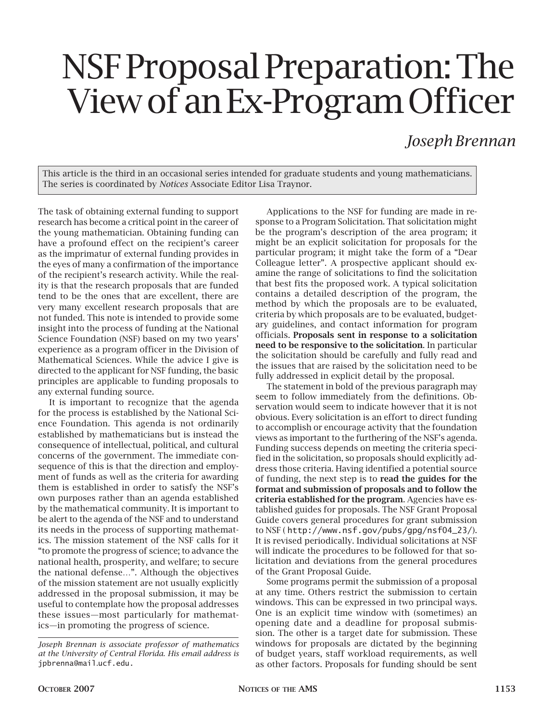## NSF Proposal Preparation: The View of an Ex-Program Officer

## *Joseph Brennan*

This article is the third in an occasional series intended for graduate students and young mathematicians. The series is coordinated by *Notices* Associate Editor Lisa Traynor.

The task of obtaining external funding to support research has become a critical point in the career of the young mathematician. Obtaining funding can have a profound effect on the recipient's career as the imprimatur of external funding provides in the eyes of many a confirmation of the importance of the recipient's research activity. While the reality is that the research proposals that are funded tend to be the ones that are excellent, there are very many excellent research proposals that are not funded. This note is intended to provide some insight into the process of funding at the National Science Foundation (NSF) based on my two years' experience as a program officer in the Division of Mathematical Sciences. While the advice I give is directed to the applicant for NSF funding, the basic principles are applicable to funding proposals to any external funding source.

It is important to recognize that the agenda for the process is established by the National Science Foundation. This agenda is not ordinarily established by mathematicians but is instead the consequence of intellectual, political, and cultural concerns of the government. The immediate consequence of this is that the direction and employment of funds as well as the criteria for awarding them is established in order to satisfy the NSF's own purposes rather than an agenda established by the mathematical community. It is important to be alert to the agenda of the NSF and to understand its needs in the process of supporting mathematics. The mission statement of the NSF calls for it "to promote the progress of science; to advance the national health, prosperity, and welfare; to secure the national defense…". Although the objectives of the mission statement are not usually explicitly addressed in the proposal submission, it may be useful to contemplate how the proposal addresses these issues—most particularly for mathematics—in promoting the progress of science.

Applications to the NSF for funding are made in response to a Program Solicitation. That solicitation might be the program's description of the area program; it might be an explicit solicitation for proposals for the particular program; it might take the form of a "Dear Colleague letter". A prospective applicant should examine the range of solicitations to find the solicitation that best fits the proposed work. A typical solicitation contains a detailed description of the program, the method by which the proposals are to be evaluated, criteria by which proposals are to be evaluated, budgetary guidelines, and contact information for program officials. Proposals sent in response to a solicitation need to be responsive to the solicitation. In particular the solicitation should be carefully and fully read and the issues that are raised by the solicitation need to be fully addressed in explicit detail by the proposal.

The statement in bold of the previous paragraph may seem to follow immediately from the definitions. Observation would seem to indicate however that it is not obvious. Every solicitation is an effort to direct funding to accomplish or encourage activity that the foundation views as important to the furthering of the NSF's agenda. Funding success depends on meeting the criteria specified in the solicitation, so proposals should explicitly address those criteria. Having identified a potential source of funding, the next step is to read the guides for the format and submission of proposals and to follow the criteria established for the program. Agencies have established guides for proposals. The NSF Grant Proposal Guide covers general procedures for grant submission to NSF ( http://www.nsf.gov/pubs/gpg/nsf04\_23/). It is revised periodically. Individual solicitations at NSF will indicate the procedures to be followed for that solicitation and deviations from the general procedures of the Grant Proposal Guide.

Some programs permit the submission of a proposal at any time. Others restrict the submission to certain windows. This can be expressed in two principal ways. One is an explicit time window with (sometimes) an opening date and a deadline for proposal submission. The other is a target date for submission. These windows for proposals are dictated by the beginning of budget years, staff workload requirements, as well as other factors. Proposals for funding should be sent

*Joseph Brennan is associate professor of mathematics at the University of Central Florida. His email address is*  jpbrenna@mail*.*ucf.edu.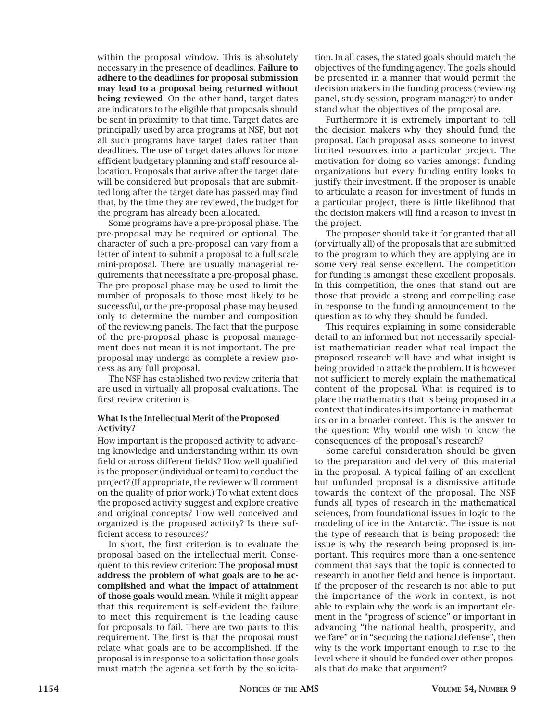within the proposal window. This is absolutely necessary in the presence of deadlines. Failure to adhere to the deadlines for proposal submission may lead to a proposal being returned without being reviewed. On the other hand, target dates are indicators to the eligible that proposals should be sent in proximity to that time. Target dates are principally used by area programs at NSF, but not all such programs have target dates rather than deadlines. The use of target dates allows for more efficient budgetary planning and staff resource allocation. Proposals that arrive after the target date will be considered but proposals that are submitted long after the target date has passed may find that, by the time they are reviewed, the budget for the program has already been allocated.

Some programs have a pre-proposal phase. The pre-proposal may be required or optional. The character of such a pre-proposal can vary from a letter of intent to submit a proposal to a full scale mini-proposal. There are usually managerial requirements that necessitate a pre-proposal phase. The pre-proposal phase may be used to limit the number of proposals to those most likely to be successful, or the pre-proposal phase may be used only to determine the number and composition of the reviewing panels. The fact that the purpose of the pre-proposal phase is proposal management does not mean it is not important. The preproposal may undergo as complete a review process as any full proposal.

The NSF has established two review criteria that are used in virtually all proposal evaluations. The first review criterion is

## What Is the Intellectual Merit of the Proposed Activity?

How important is the proposed activity to advancing knowledge and understanding within its own field or across different fields? How well qualified is the proposer (individual or team) to conduct the project? (If appropriate, the reviewer will comment on the quality of prior work.) To what extent does the proposed activity suggest and explore creative and original concepts? How well conceived and organized is the proposed activity? Is there sufficient access to resources?

In short, the first criterion is to evaluate the proposal based on the intellectual merit. Consequent to this review criterion: The proposal must address the problem of what goals are to be accomplished and what the impact of attainment of those goals would mean. While it might appear that this requirement is self-evident the failure to meet this requirement is the leading cause for proposals to fail. There are two parts to this requirement. The first is that the proposal must relate what goals are to be accomplished. If the proposal is in response to a solicitation those goals must match the agenda set forth by the solicita-

tion. In all cases, the stated goals should match the objectives of the funding agency. The goals should be presented in a manner that would permit the decision makers in the funding process (reviewing panel, study session, program manager) to understand what the objectives of the proposal are.

Furthermore it is extremely important to tell the decision makers why they should fund the proposal. Each proposal asks someone to invest limited resources into a particular project. The motivation for doing so varies amongst funding organizations but every funding entity looks to justify their investment. If the proposer is unable to articulate a reason for investment of funds in a particular project, there is little likelihood that the decision makers will find a reason to invest in the project.

The proposer should take it for granted that all (or virtually all) of the proposals that are submitted to the program to which they are applying are in some very real sense excellent. The competition for funding is amongst these excellent proposals. In this competition, the ones that stand out are those that provide a strong and compelling case in response to the funding announcement to the question as to why they should be funded.

This requires explaining in some considerable detail to an informed but not necessarily specialist mathematician reader what real impact the proposed research will have and what insight is being provided to attack the problem. It is however not sufficient to merely explain the mathematical content of the proposal. What is required is to place the mathematics that is being proposed in a context that indicates its importance in mathematics or in a broader context. This is the answer to the question: Why would one wish to know the consequences of the proposal's research?

Some careful consideration should be given to the preparation and delivery of this material in the proposal. A typical failing of an excellent but unfunded proposal is a dismissive attitude towards the context of the proposal. The NSF funds all types of research in the mathematical sciences, from foundational issues in logic to the modeling of ice in the Antarctic. The issue is not the type of research that is being proposed; the issue is why the research being proposed is important. This requires more than a one-sentence comment that says that the topic is connected to research in another field and hence is important. If the proposer of the research is not able to put the importance of the work in context, is not able to explain why the work is an important element in the "progress of science" or important in advancing "the national health, prosperity, and welfare" or in "securing the national defense", then why is the work important enough to rise to the level where it should be funded over other proposals that do make that argument?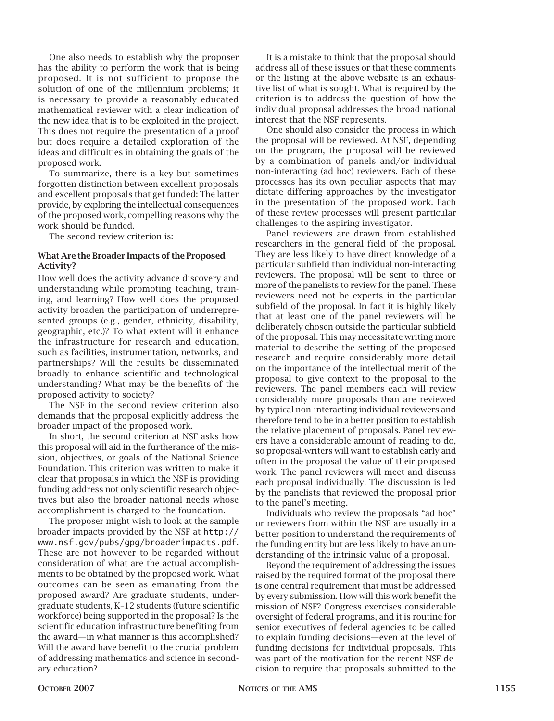One also needs to establish why the proposer has the ability to perform the work that is being proposed. It is not sufficient to propose the solution of one of the millennium problems; it is necessary to provide a reasonably educated mathematical reviewer with a clear indication of the new idea that is to be exploited in the project. This does not require the presentation of a proof but does require a detailed exploration of the ideas and difficulties in obtaining the goals of the proposed work.

To summarize, there is a key but sometimes forgotten distinction between excellent proposals and excellent proposals that get funded: The latter provide, by exploring the intellectual consequences of the proposed work, compelling reasons why the work should be funded.

The second review criterion is:

## What Are the Broader Impacts of the Proposed Activity?

How well does the activity advance discovery and understanding while promoting teaching, training, and learning? How well does the proposed activity broaden the participation of underrepresented groups (e.g., gender, ethnicity, disability, geographic, etc.)? To what extent will it enhance the infrastructure for research and education, such as facilities, instrumentation, networks, and partnerships? Will the results be disseminated broadly to enhance scientific and technological understanding? What may be the benefits of the proposed activity to society?

The NSF in the second review criterion also demands that the proposal explicitly address the broader impact of the proposed work.

In short, the second criterion at NSF asks how this proposal will aid in the furtherance of the mission, objectives, or goals of the National Science Foundation. This criterion was written to make it clear that proposals in which the NSF is providing funding address not only scientific research objectives but also the broader national needs whose accomplishment is charged to the foundation.

The proposer might wish to look at the sample broader impacts provided by the NSF at http:// www.nsf.gov/pubs/gpg/broaderimpacts.pdf. These are not however to be regarded without consideration of what are the actual accomplishments to be obtained by the proposed work. What outcomes can be seen as emanating from the proposed award? Are graduate students, undergraduate students, K–12 students (future scientific workforce) being supported in the proposal? Is the scientific education infrastructure benefiting from the award—in what manner is this accomplished? Will the award have benefit to the crucial problem of addressing mathematics and science in secondary education?

It is a mistake to think that the proposal should address all of these issues or that these comments or the listing at the above website is an exhaustive list of what is sought. What is required by the criterion is to address the question of how the individual proposal addresses the broad national interest that the NSF represents.

One should also consider the process in which the proposal will be reviewed. At NSF, depending on the program, the proposal will be reviewed by a combination of panels and/or individual non-interacting (ad hoc) reviewers. Each of these processes has its own peculiar aspects that may dictate differing approaches by the investigator in the presentation of the proposed work. Each of these review processes will present particular challenges to the aspiring investigator.

Panel reviewers are drawn from established researchers in the general field of the proposal. They are less likely to have direct knowledge of a particular subfield than individual non-interacting reviewers. The proposal will be sent to three or more of the panelists to review for the panel. These reviewers need not be experts in the particular subfield of the proposal. In fact it is highly likely that at least one of the panel reviewers will be deliberately chosen outside the particular subfield of the proposal. This may necessitate writing more material to describe the setting of the proposed research and require considerably more detail on the importance of the intellectual merit of the proposal to give context to the proposal to the reviewers. The panel members each will review considerably more proposals than are reviewed by typical non-interacting individual reviewers and therefore tend to be in a better position to establish the relative placement of proposals. Panel reviewers have a considerable amount of reading to do, so proposal-writers will want to establish early and often in the proposal the value of their proposed work. The panel reviewers will meet and discuss each proposal individually. The discussion is led by the panelists that reviewed the proposal prior to the panel's meeting.

Individuals who review the proposals "ad hoc" or reviewers from within the NSF are usually in a better position to understand the requirements of the funding entity but are less likely to have an understanding of the intrinsic value of a proposal.

Beyond the requirement of addressing the issues raised by the required format of the proposal there is one central requirement that must be addressed by every submission. How will this work benefit the mission of NSF? Congress exercises considerable oversight of federal programs, and it is routine for senior executives of federal agencies to be called to explain funding decisions—even at the level of funding decisions for individual proposals. This was part of the motivation for the recent NSF decision to require that proposals submitted to the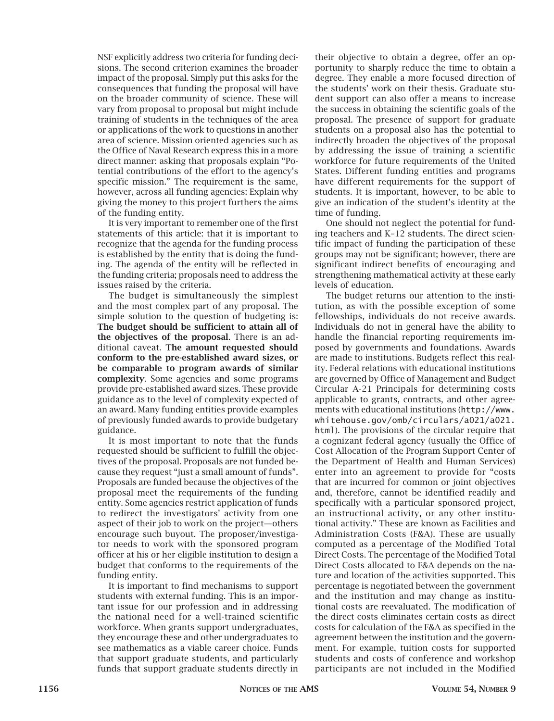NSF explicitly address two criteria for funding decisions. The second criterion examines the broader impact of the proposal. Simply put this asks for the consequences that funding the proposal will have on the broader community of science. These will vary from proposal to proposal but might include training of students in the techniques of the area or applications of the work to questions in another area of science. Mission oriented agencies such as the Office of Naval Research express this in a more direct manner: asking that proposals explain "Potential contributions of the effort to the agency's specific mission." The requirement is the same, however, across all funding agencies: Explain why giving the money to this project furthers the aims of the funding entity.

It is very important to remember one of the first statements of this article: that it is important to recognize that the agenda for the funding process is established by the entity that is doing the funding. The agenda of the entity will be reflected in the funding criteria; proposals need to address the issues raised by the criteria.

The budget is simultaneously the simplest and the most complex part of any proposal. The simple solution to the question of budgeting is: The budget should be sufficient to attain all of the objectives of the proposal. There is an additional caveat. The amount requested should conform to the pre-established award sizes, or be comparable to program awards of similar complexity. Some agencies and some programs provide pre-established award sizes. These provide guidance as to the level of complexity expected of an award. Many funding entities provide examples of previously funded awards to provide budgetary guidance.

It is most important to note that the funds requested should be sufficient to fulfill the objectives of the proposal. Proposals are not funded because they request "just a small amount of funds". Proposals are funded because the objectives of the proposal meet the requirements of the funding entity. Some agencies restrict application of funds to redirect the investigators' activity from one aspect of their job to work on the project—others encourage such buyout. The proposer/investigator needs to work with the sponsored program officer at his or her eligible institution to design a budget that conforms to the requirements of the funding entity.

It is important to find mechanisms to support students with external funding. This is an important issue for our profession and in addressing the national need for a well-trained scientific workforce. When grants support undergraduates, they encourage these and other undergraduates to see mathematics as a viable career choice. Funds that support graduate students, and particularly funds that support graduate students directly in

their objective to obtain a degree, offer an opportunity to sharply reduce the time to obtain a degree. They enable a more focused direction of the students' work on their thesis. Graduate student support can also offer a means to increase the success in obtaining the scientific goals of the proposal. The presence of support for graduate students on a proposal also has the potential to indirectly broaden the objectives of the proposal by addressing the issue of training a scientific workforce for future requirements of the United States. Different funding entities and programs have different requirements for the support of students. It is important, however, to be able to give an indication of the student's identity at the time of funding.

One should not neglect the potential for funding teachers and K–12 students. The direct scientific impact of funding the participation of these groups may not be significant; however, there are significant indirect benefits of encouraging and strengthening mathematical activity at these early levels of education.

The budget returns our attention to the institution, as with the possible exception of some fellowships, individuals do not receive awards. Individuals do not in general have the ability to handle the financial reporting requirements imposed by governments and foundations. Awards are made to institutions. Budgets reflect this reality. Federal relations with educational institutions are governed by Office of Management and Budget Circular A-21 Principals for determining costs applicable to grants, contracts, and other agreements with educational institutions (http://www. whitehouse.gov/omb/circulars/a021/a021. html). The provisions of the circular require that a cognizant federal agency (usually the Office of Cost Allocation of the Program Support Center of the Department of Health and Human Services) enter into an agreement to provide for "costs that are incurred for common or joint objectives and, therefore, cannot be identified readily and specifically with a particular sponsored project, an instructional activity, or any other institutional activity." These are known as Facilities and Administration Costs (F&A). These are usually computed as a percentage of the Modified Total Direct Costs. The percentage of the Modified Total Direct Costs allocated to F&A depends on the nature and location of the activities supported. This percentage is negotiated between the government and the institution and may change as institutional costs are reevaluated. The modification of the direct costs eliminates certain costs as direct costs for calculation of the F&A as specified in the agreement between the institution and the government. For example, tuition costs for supported students and costs of conference and workshop participants are not included in the Modified